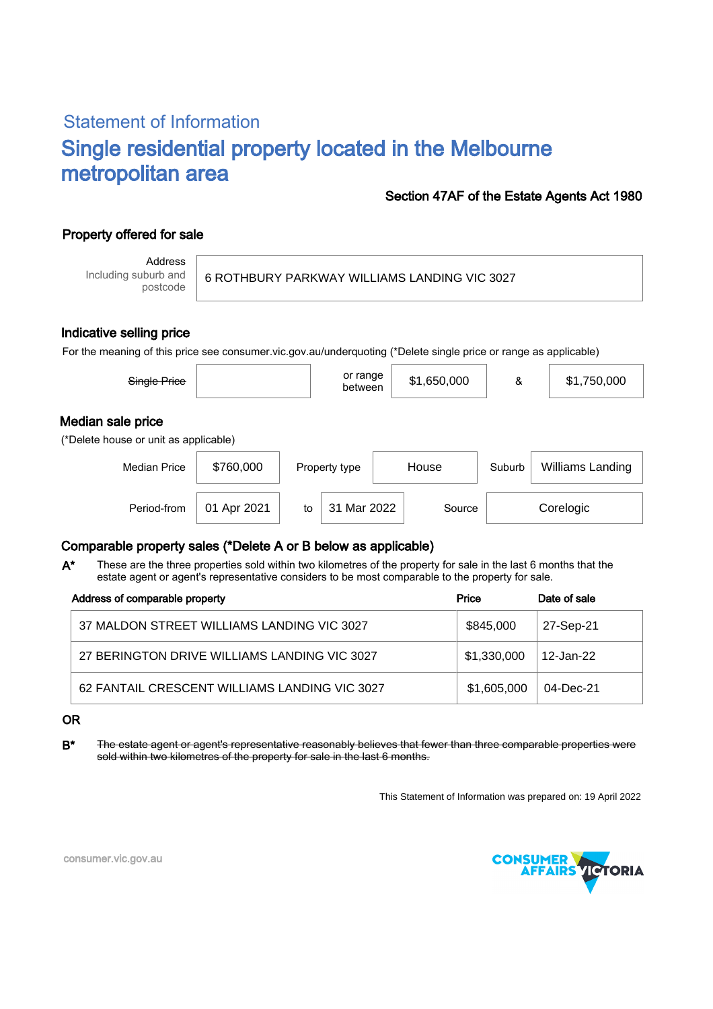# Statement of Information Single residential property located in the Melbourne metropolitan area

### Section 47AF of the Estate Agents Act 1980

## Property offered for sale

Address Including suburb and postcode

6 ROTHBURY PARKWAY WILLIAMS LANDING VIC 3027

#### Indicative selling price

For the meaning of this price see consumer.vic.gov.au/underquoting (\*Delete single price or range as applicable)

| Single Price                                               |             |    | or range<br>between |       | \$1,650,000 | &      | \$1,750,000      |  |
|------------------------------------------------------------|-------------|----|---------------------|-------|-------------|--------|------------------|--|
| Median sale price<br>(*Delete house or unit as applicable) |             |    |                     |       |             |        |                  |  |
| <b>Median Price</b>                                        | \$760,000   |    | Property type       | House |             | Suburb | Williams Landing |  |
| Period-from                                                | 01 Apr 2021 | to | 31 Mar 2022         |       | Source      |        | Corelogic        |  |

### Comparable property sales (\*Delete A or B below as applicable)

These are the three properties sold within two kilometres of the property for sale in the last 6 months that the estate agent or agent's representative considers to be most comparable to the property for sale. A\*

| Address of comparable property                | Price       | Date of sale |  |
|-----------------------------------------------|-------------|--------------|--|
| 37 MALDON STREET WILLIAMS LANDING VIC 3027    | \$845,000   | 27-Sep-21    |  |
| 27 BERINGTON DRIVE WILLIAMS LANDING VIC 3027  | \$1,330,000 | ⊟12-Jan-22   |  |
| 62 FANTAIL CRESCENT WILLIAMS LANDING VIC 3027 | \$1,605,000 | 04-Dec-21    |  |

#### OR

B<sup>\*</sup> The estate agent or agent's representative reasonably believes that fewer than three comparable properties were sold within two kilometres of the property for sale in the last 6 months.

This Statement of Information was prepared on: 19 April 2022



consumer.vic.gov.au